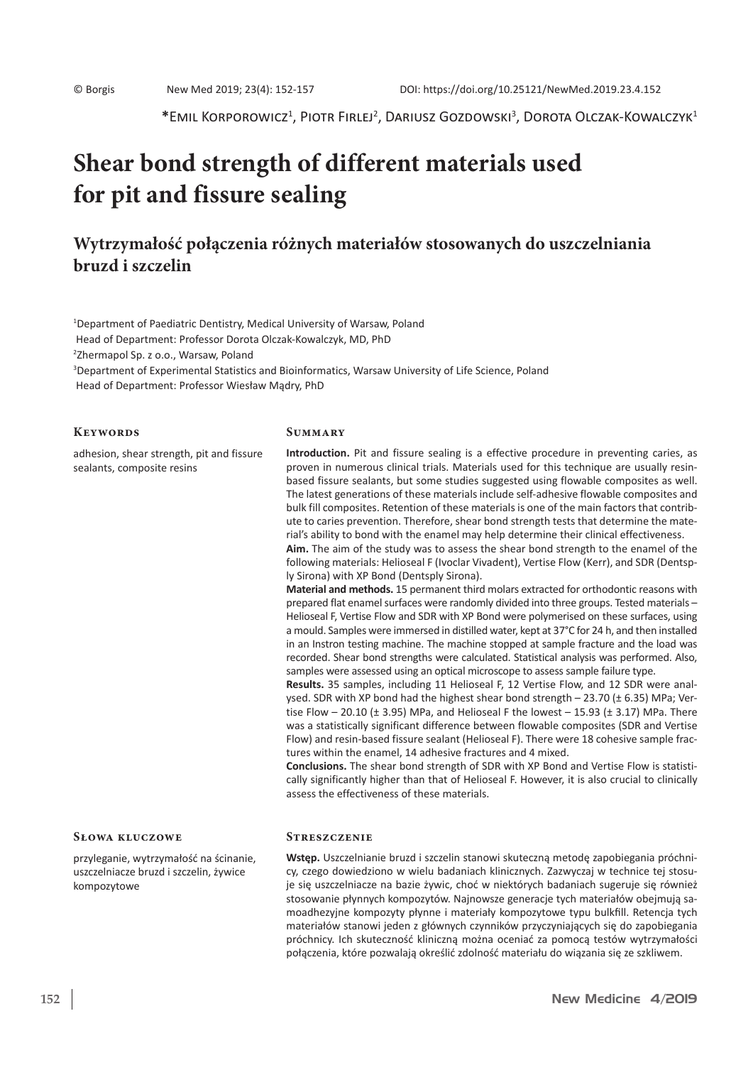\*Emil Korporowicz<sup>1</sup>, Piotr Firlej<sup>2</sup>, Dariusz Gozdowski<sup>3</sup>, Dorota Olczak-Kowalczyk<sup>1</sup>

# **Shear bond strength of different materials used for pit and fissure sealing**

# **Wytrzymałość połączenia różnych materiałów stosowanych do uszczelniania bruzd i szczelin**

1 Department of Paediatric Dentistry, Medical University of Warsaw, Poland Head of Department: Professor Dorota Olczak-Kowalczyk, MD, PhD 2 Zhermapol Sp. z o.o., Warsaw, Poland 3 Department of Experimental Statistics and Bioinformatics, Warsaw University of Life Science, Poland Head of Department: Professor Wiesław Mądry, PhD

#### **Keywords**

adhesion, shear strength, pit and fissure sealants, composite resins

#### **Summary**

**Introduction.** Pit and fissure sealing is a effective procedure in preventing caries, as proven in numerous clinical trials. Materials used for this technique are usually resinbased fissure sealants, but some studies suggested using flowable composites as well. The latest generations of these materials include self-adhesive flowable composites and bulk fill composites. Retention of these materials is one of the main factors that contribute to caries prevention. Therefore, shear bond strength tests that determine the material's ability to bond with the enamel may help determine their clinical effectiveness.

**Aim.** The aim of the study was to assess the shear bond strength to the enamel of the following materials: Helioseal F (Ivoclar Vivadent), Vertise Flow (Kerr), and SDR (Dentsply Sirona) with XP Bond (Dentsply Sirona).

**Material and methods.** 15 permanent third molars extracted for orthodontic reasons with prepared flat enamel surfaces were randomly divided into three groups. Tested materials – Helioseal F, Vertise Flow and SDR with XP Bond were polymerised on these surfaces, using a mould. Samples were immersed in distilled water, kept at 37°C for 24 h, and then installed in an Instron testing machine. The machine stopped at sample fracture and the load was recorded. Shear bond strengths were calculated. Statistical analysis was performed. Also, samples were assessed using an optical microscope to assess sample failure type.

**Results.** 35 samples, including 11 Helioseal F, 12 Vertise Flow, and 12 SDR were analysed. SDR with XP bond had the highest shear bond strength  $-$  23.70 ( $\pm$  6.35) MPa; Vertise Flow  $-$  20.10 ( $\pm$  3.95) MPa, and Helioseal F the lowest  $-$  15.93 ( $\pm$  3.17) MPa. There was a statistically significant difference between flowable composites (SDR and Vertise Flow) and resin-based fissure sealant (Helioseal F). There were 18 cohesive sample fractures within the enamel, 14 adhesive fractures and 4 mixed.

**Conclusions.** The shear bond strength of SDR with XP Bond and Vertise Flow is statistically significantly higher than that of Helioseal F. However, it is also crucial to clinically assess the effectiveness of these materials.

#### **Słowa kluczowe**

przyleganie, wytrzymałość na ścinanie, uszczelniacze bruzd i szczelin, żywice kompozytowe

#### **Streszczenie**

**Wstęp.** Uszczelnianie bruzd i szczelin stanowi skuteczną metodę zapobiegania próchnicy, czego dowiedziono w wielu badaniach klinicznych. Zazwyczaj w technice tej stosuje się uszczelniacze na bazie żywic, choć w niektórych badaniach sugeruje się również stosowanie płynnych kompozytów. Najnowsze generacje tych materiałów obejmują samoadhezyjne kompozyty płynne i materiały kompozytowe typu bulkfill. Retencja tych materiałów stanowi jeden z głównych czynników przyczyniających się do zapobiegania próchnicy. Ich skuteczność kliniczną można oceniać za pomocą testów wytrzymałości połączenia, które pozwalają określić zdolność materiału do wiązania się ze szkliwem.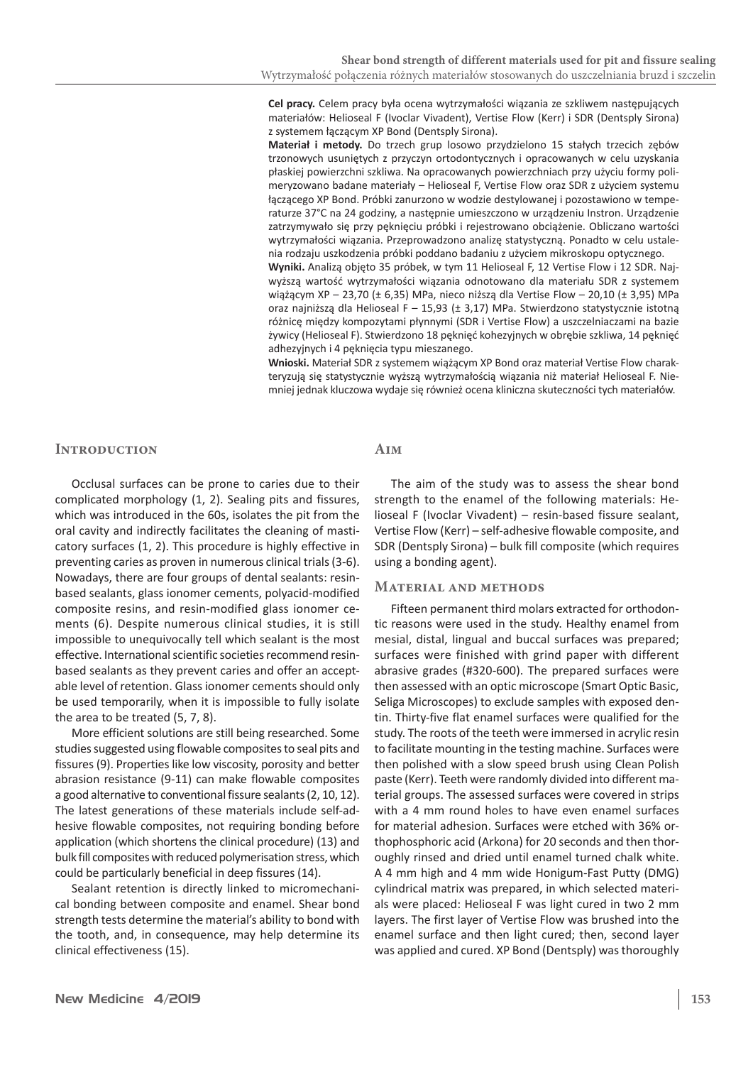**Cel pracy.** Celem pracy była ocena wytrzymałości wiązania ze szkliwem następujących materiałów: Helioseal F (Ivoclar Vivadent), Vertise Flow (Kerr) i SDR (Dentsply Sirona) z systemem łączącym XP Bond (Dentsply Sirona).

**Materiał i metody.** Do trzech grup losowo przydzielono 15 stałych trzecich zębów trzonowych usuniętych z przyczyn ortodontycznych i opracowanych w celu uzyskania płaskiej powierzchni szkliwa. Na opracowanych powierzchniach przy użyciu formy polimeryzowano badane materiały – Helioseal F, Vertise Flow oraz SDR z użyciem systemu łączącego XP Bond. Próbki zanurzono w wodzie destylowanej i pozostawiono w temperaturze 37°C na 24 godziny, a następnie umieszczono w urządzeniu Instron. Urządzenie zatrzymywało się przy pęknięciu próbki i rejestrowano obciążenie. Obliczano wartości wytrzymałości wiązania. Przeprowadzono analizę statystyczną. Ponadto w celu ustalenia rodzaju uszkodzenia próbki poddano badaniu z użyciem mikroskopu optycznego.

**Wyniki.** Analizą objęto 35 próbek, w tym 11 Helioseal F, 12 Vertise Flow i 12 SDR. Najwyższą wartość wytrzymałości wiązania odnotowano dla materiału SDR z systemem wiążącym XP – 23,70 (± 6,35) MPa, nieco niższą dla Vertise Flow – 20,10 (± 3,95) MPa oraz najniższą dla Helioseal F – 15,93 (± 3,17) MPa. Stwierdzono statystycznie istotną różnicę między kompozytami płynnymi (SDR i Vertise Flow) a uszczelniaczami na bazie żywicy (Helioseal F). Stwierdzono 18 pęknięć kohezyjnych w obrębie szkliwa, 14 pęknięć adhezyjnych i 4 pęknięcia typu mieszanego.

**Wnioski.** Materiał SDR z systemem wiążącym XP Bond oraz materiał Vertise Flow charakteryzują się statystycznie wyższą wytrzymałością wiązania niż materiał Helioseal F. Niemniej jednak kluczowa wydaje się również ocena kliniczna skuteczności tych materiałów.

#### **INTRODUCTION**

Occlusal surfaces can be prone to caries due to their complicated morphology (1, 2). Sealing pits and fissures, which was introduced in the 60s, isolates the pit from the oral cavity and indirectly facilitates the cleaning of masticatory surfaces (1, 2). This procedure is highly effective in preventing caries as proven in numerous clinical trials(3-6). Nowadays, there are four groups of dental sealants: resinbased sealants, glass ionomer cements, polyacid-modified composite resins, and resin-modified glass ionomer cements (6). Despite numerous clinical studies, it is still impossible to unequivocally tell which sealant is the most effective. International scientific societies recommend resinbased sealants as they prevent caries and offer an acceptable level of retention. Glass ionomer cements should only be used temporarily, when it is impossible to fully isolate the area to be treated (5, 7, 8).

More efficient solutions are still being researched. Some studies suggested using flowable composites to seal pits and fissures(9). Properties like low viscosity, porosity and better abrasion resistance (9-11) can make flowable composites a good alternative to conventional fissure sealants(2, 10, 12). The latest generations of these materials include self-adhesive flowable composites, not requiring bonding before application (which shortens the clinical procedure) (13) and bulk fill composites with reduced polymerisation stress, which could be particularly beneficial in deep fissures (14).

Sealant retention is directly linked to micromechanical bonding between composite and enamel. Shear bond strength tests determine the material's ability to bond with the tooth, and, in consequence, may help determine its clinical effectiveness (15).

# **Aim**

The aim of the study was to assess the shear bond strength to the enamel of the following materials: Helioseal F (Ivoclar Vivadent) – resin-based fissure sealant, Vertise Flow (Kerr) – self-adhesive flowable composite, and SDR (Dentsply Sirona) – bulk fill composite (which requires using a bonding agent).

#### **Material and methods**

Fifteen permanent third molars extracted for orthodontic reasons were used in the study. Healthy enamel from mesial, distal, lingual and buccal surfaces was prepared; surfaces were finished with grind paper with different abrasive grades (#320-600). The prepared surfaces were then assessed with an optic microscope (Smart Optic Basic, Seliga Microscopes) to exclude samples with exposed dentin. Thirty-five flat enamel surfaces were qualified for the study. The roots of the teeth were immersed in acrylic resin to facilitate mounting in the testing machine. Surfaces were then polished with a slow speed brush using Clean Polish paste (Kerr). Teeth were randomly divided into different material groups. The assessed surfaces were covered in strips with a 4 mm round holes to have even enamel surfaces for material adhesion. Surfaces were etched with 36% orthophosphoric acid (Arkona) for 20 seconds and then thoroughly rinsed and dried until enamel turned chalk white. A 4 mm high and 4 mm wide Honigum-Fast Putty (DMG) cylindrical matrix was prepared, in which selected materials were placed: Helioseal F was light cured in two 2 mm layers. The first layer of Vertise Flow was brushed into the enamel surface and then light cured; then, second layer was applied and cured. XP Bond (Dentsply) was thoroughly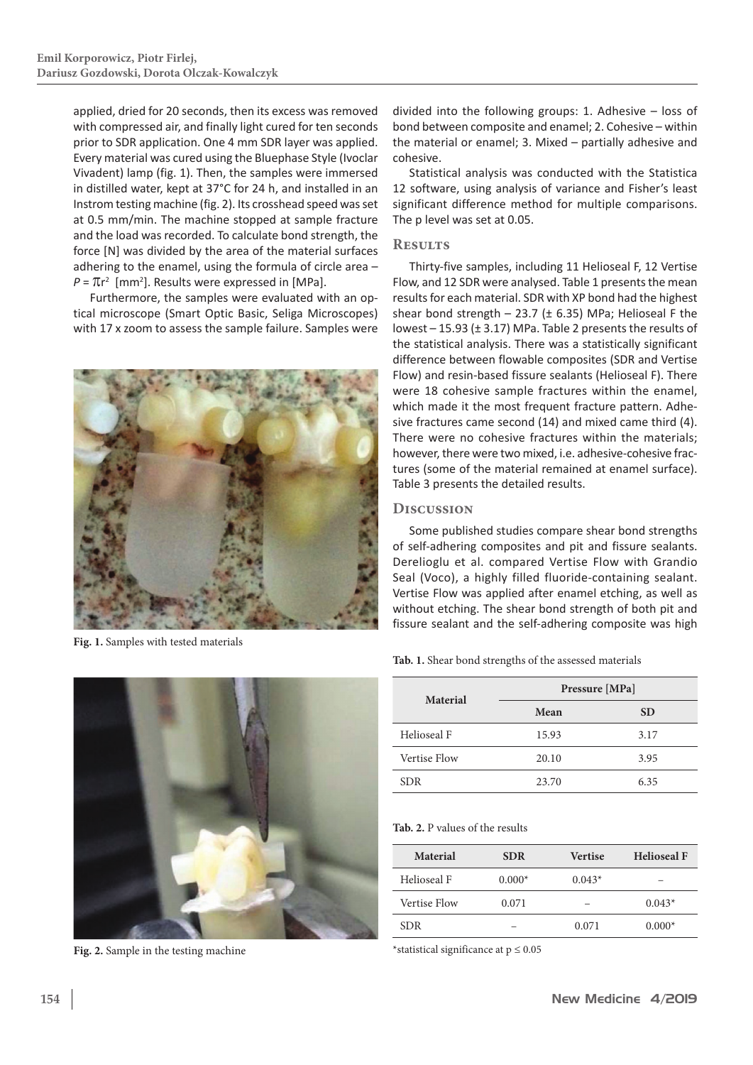applied, dried for 20 seconds, then its excess was removed with compressed air, and finally light cured for ten seconds prior to SDR application. One 4 mm SDR layer was applied. Every material was cured using the Bluephase Style (Ivoclar Vivadent) lamp (fig. 1). Then, the samples were immersed in distilled water, kept at 37°C for 24 h, and installed in an Instrom testing machine (fig. 2). Its crosshead speed was set at 0.5 mm/min. The machine stopped at sample fracture and the load was recorded. To calculate bond strength, the force [N] was divided by the area of the material surfaces adhering to the enamel, using the formula of circle area –  $P = \pi r^2$  [mm<sup>2</sup>]. Results were expressed in [MPa].

Furthermore, the samples were evaluated with an optical microscope (Smart Optic Basic, Seliga Microscopes) with 17 x zoom to assess the sample failure. Samples were



**Fig. 1.** Samples with tested materials



**Fig. 2.** Sample in the testing machine

divided into the following groups: 1. Adhesive – loss of bond between composite and enamel; 2. Cohesive – within the material or enamel; 3. Mixed – partially adhesive and cohesive.

Statistical analysis was conducted with the Statistica 12 software, using analysis of variance and Fisher's least significant difference method for multiple comparisons. The p level was set at 0.05.

# **Results**

Thirty-five samples, including 11 Helioseal F, 12 Vertise Flow, and 12 SDR were analysed. Table 1 presents the mean results for each material. SDR with XP bond had the highest shear bond strength  $-$  23.7 ( $\pm$  6.35) MPa; Helioseal F the lowest – 15.93 (± 3.17) MPa. Table 2 presents the results of the statistical analysis. There was a statistically significant difference between flowable composites (SDR and Vertise Flow) and resin-based fissure sealants (Helioseal F). There were 18 cohesive sample fractures within the enamel, which made it the most frequent fracture pattern. Adhesive fractures came second (14) and mixed came third (4). There were no cohesive fractures within the materials; however, there were two mixed, i.e. adhesive-cohesive fractures (some of the material remained at enamel surface). Table 3 presents the detailed results.

# **Discussion**

Some published studies compare shear bond strengths of self-adhering composites and pit and fissure sealants. Derelioglu et al. compared Vertise Flow with Grandio Seal (Voco), a highly filled fluoride-containing sealant. Vertise Flow was applied after enamel etching, as well as without etching. The shear bond strength of both pit and fissure sealant and the self-adhering composite was high

**Tab. 1.** Shear bond strengths of the assessed materials

|                     | Pressure [MPa] |           |  |
|---------------------|----------------|-----------|--|
| <b>Material</b>     | Mean           | <b>SD</b> |  |
| Helioseal F         | 15.93          | 3.17      |  |
| <b>Vertise Flow</b> | 20.10          | 3.95      |  |
| <b>SDR</b>          | 23.70          | 6.35      |  |

#### **Tab. 2.** P values of the results

| Material     | <b>SDR</b> | <b>Vertise</b> | <b>Helioseal F</b> |
|--------------|------------|----------------|--------------------|
| Helioseal F  | $0.000*$   | $0.043*$       |                    |
| Vertise Flow | 0.071      |                | $0.043*$           |
| SDR.         |            | 0.071          | $0.000*$           |

\*statistical significance at  $p \leq 0.05$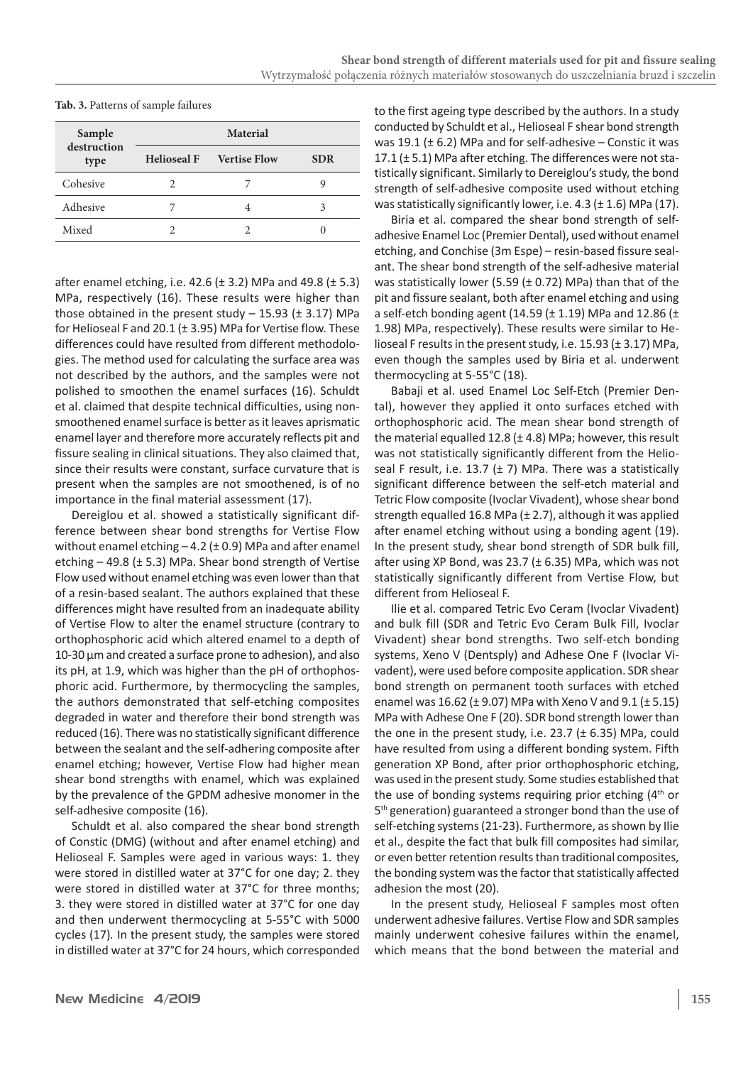| Tab. 3. Patterns of sample failures |  |
|-------------------------------------|--|
|-------------------------------------|--|

| Sample<br>destruction<br>type | <b>Material</b>    |                     |            |  |
|-------------------------------|--------------------|---------------------|------------|--|
|                               | <b>Helioseal F</b> | <b>Vertise Flow</b> | <b>SDR</b> |  |
| Cohesive                      | 2                  |                     | 9          |  |
| Adhesive                      |                    |                     | 3          |  |
| Mixed                         |                    |                     | 0          |  |

after enamel etching, i.e. 42.6 ( $\pm$  3.2) MPa and 49.8 ( $\pm$  5.3) MPa, respectively (16). These results were higher than those obtained in the present study  $-$  15.93 ( $\pm$  3.17) MPa for Helioseal F and 20.1 (± 3.95) MPa for Vertise flow. These differences could have resulted from different methodologies. The method used for calculating the surface area was not described by the authors, and the samples were not polished to smoothen the enamel surfaces (16). Schuldt et al. claimed that despite technical difficulties, using nonsmoothened enamel surface is better as it leaves aprismatic enamel layer and therefore more accurately reflects pit and fissure sealing in clinical situations. They also claimed that, since their results were constant, surface curvature that is present when the samples are not smoothened, is of no importance in the final material assessment (17).

Dereiglou et al. showed a statistically significant difference between shear bond strengths for Vertise Flow without enamel etching  $-4.2$  ( $\pm$  0.9) MPa and after enamel etching  $-49.8$  ( $\pm$  5.3) MPa. Shear bond strength of Vertise Flow used without enamel etching was even lower than that of a resin-based sealant. The authors explained that these differences might have resulted from an inadequate ability of Vertise Flow to alter the enamel structure (contrary to orthophosphoric acid which altered enamel to a depth of 10-30 μm and created a surface prone to adhesion), and also its pH, at 1.9, which was higher than the pH of orthophosphoric acid. Furthermore, by thermocycling the samples, the authors demonstrated that self-etching composites degraded in water and therefore their bond strength was reduced (16). There was no statistically significant difference between the sealant and the self-adhering composite after enamel etching; however, Vertise Flow had higher mean shear bond strengths with enamel, which was explained by the prevalence of the GPDM adhesive monomer in the self-adhesive composite (16).

Schuldt et al. also compared the shear bond strength of Constic (DMG) (without and after enamel etching) and Helioseal F. Samples were aged in various ways: 1. they were stored in distilled water at 37°C for one day; 2. they were stored in distilled water at 37°C for three months; 3. they were stored in distilled water at 37°C for one day and then underwent thermocycling at 5-55°C with 5000 cycles (17)*.* In the present study, the samples were stored in distilled water at 37°C for 24 hours, which corresponded

to the first ageing type described by the authors. In a study conducted by Schuldt et al., Helioseal F shear bond strength was 19.1 ( $\pm$  6.2) MPa and for self-adhesive – Constic it was 17.1 (± 5.1) MPa after etching. The differences were not statistically significant. Similarly to Dereiglou's study, the bond strength of self-adhesive composite used without etching was statistically significantly lower, i.e. 4.3 (± 1.6) MPa (17).

Biria et al. compared the shear bond strength of selfadhesive Enamel Loc (Premier Dental), used without enamel etching, and Conchise (3m Espe) – resin-based fissure sealant. The shear bond strength of the self-adhesive material was statistically lower (5.59 ( $\pm$  0.72) MPa) than that of the pit and fissure sealant, both after enamel etching and using a self-etch bonding agent (14.59 ( $\pm$  1.19) MPa and 12.86 ( $\pm$ 1.98) MPa, respectively). These results were similar to Helioseal F results in the present study, i.e. 15.93 (± 3.17) MPa, even though the samples used by Biria et al. underwent thermocycling at 5-55°C (18).

Babaji et al. used Enamel Loc Self-Etch (Premier Dental), however they applied it onto surfaces etched with orthophosphoric acid. The mean shear bond strength of the material equalled 12.8 ( $\pm$  4.8) MPa; however, this result was not statistically significantly different from the Helioseal F result, i.e. 13.7 ( $\pm$  7) MPa. There was a statistically significant difference between the self-etch material and Tetric Flow composite (Ivoclar Vivadent), whose shear bond strength equalled 16.8 MPa (± 2.7), although it was applied after enamel etching without using a bonding agent (19). In the present study, shear bond strength of SDR bulk fill, after using XP Bond, was 23.7 (± 6.35) MPa, which was not statistically significantly different from Vertise Flow, but different from Helioseal F.

Ilie et al. compared Tetric Evo Ceram (Ivoclar Vivadent) and bulk fill (SDR and Tetric Evo Ceram Bulk Fill, Ivoclar Vivadent) shear bond strengths. Two self-etch bonding systems, Xeno V (Dentsply) and Adhese One F (Ivoclar Vivadent), were used before composite application. SDR shear bond strength on permanent tooth surfaces with etched enamel was  $16.62$  ( $\pm$  9.07) MPa with Xeno V and 9.1 ( $\pm$  5.15) MPa with Adhese One F (20). SDR bond strength lower than the one in the present study, i.e.  $23.7$  ( $\pm$  6.35) MPa, could have resulted from using a different bonding system. Fifth generation XP Bond, after prior orthophosphoric etching, was used in the present study. Some studies established that the use of bonding systems requiring prior etching  $(4<sup>th</sup>$  or 5<sup>th</sup> generation) guaranteed a stronger bond than the use of self-etching systems(21-23). Furthermore, as shown by Ilie et al., despite the fact that bulk fill composites had similar, or even better retention results than traditional composites, the bonding system was the factor that statistically affected adhesion the most (20).

In the present study, Helioseal F samples most often underwent adhesive failures. Vertise Flow and SDR samples mainly underwent cohesive failures within the enamel, which means that the bond between the material and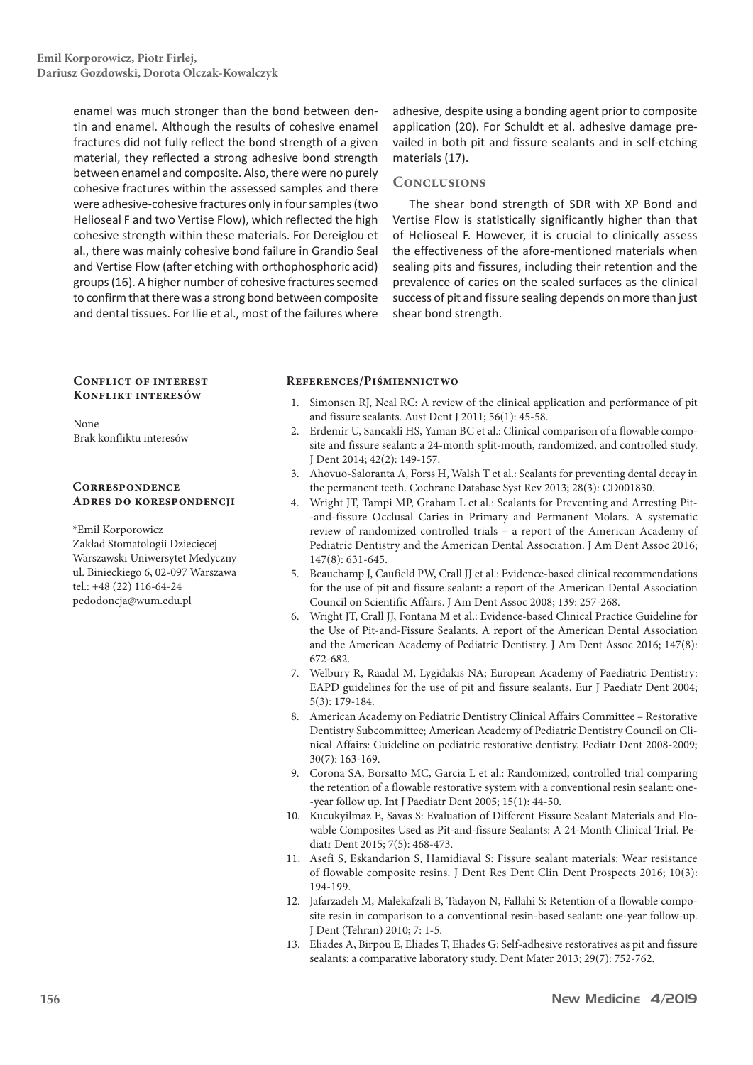enamel was much stronger than the bond between dentin and enamel. Although the results of cohesive enamel fractures did not fully reflect the bond strength of a given material, they reflected a strong adhesive bond strength between enamel and composite. Also, there were no purely cohesive fractures within the assessed samples and there were adhesive-cohesive fractures only in four samples(two Helioseal F and two Vertise Flow), which reflected the high cohesive strength within these materials. For Dereiglou et al., there was mainly cohesive bond failure in Grandio Seal and Vertise Flow (after etching with orthophosphoric acid) groups(16). A higher number of cohesive fractures seemed to confirm that there was a strong bond between composite and dental tissues. For Ilie et al., most of the failures where

adhesive, despite using a bonding agent prior to composite application (20). For Schuldt et al. adhesive damage prevailed in both pit and fissure sealants and in self-etching materials (17).

## **Conclusions**

The shear bond strength of SDR with XP Bond and Vertise Flow is statistically significantly higher than that of Helioseal F. However, it is crucial to clinically assess the effectiveness of the afore-mentioned materials when sealing pits and fissures, including their retention and the prevalence of caries on the sealed surfaces as the clinical success of pit and fissure sealing depends on more than just shear bond strength.

#### **Conflict of interest Konflikt interesów**

None Brak konfliktu interesów

#### **Correspondence Adres do korespondencji**

\*Emil Korporowicz Zakład Stomatologii Dziecięcej Warszawski Uniwersytet Medyczny ul. Binieckiego 6, 02-097 Warszawa tel.: +48 (22) 116-64-24 pedodoncja@wum.edu.pl

### **References/Piśmiennictwo**

- 1. Simonsen RJ, Neal RC: A review of the clinical application and performance of pit and fissure sealants. Aust Dent J 2011; 56(1): 45-58.
- 2. Erdemir U, Sancakli HS, Yaman BC et al.: Clinical comparison of a flowable composite and fissure sealant: a 24-month split-mouth, randomized, and controlled study. J Dent 2014; 42(2): 149-157.
- 3. Ahovuo-Saloranta A, Forss H, Walsh T et al.: Sealants for preventing dental decay in the permanent teeth. Cochrane Database Syst Rev 2013; 28(3): CD001830.
- 4. Wright JT, Tampi MP, Graham L et al.: Sealants for Preventing and Arresting Pit- -and-fissure Occlusal Caries in Primary and Permanent Molars. A systematic review of randomized controlled trials – a report of the American Academy of Pediatric Dentistry and the American Dental Association. J Am Dent Assoc 2016; 147(8): 631-645.
- 5. Beauchamp J, Caufield PW, Crall JJ et al.: Evidence-based clinical recommendations for the use of pit and fissure sealant: a report of the American Dental Association Council on Scientific Affairs. J Am Dent Assoc 2008; 139: 257-268.
- 6. Wright JT, Crall JJ, Fontana M et al.: Evidence-based Clinical Practice Guideline for the Use of Pit-and-Fissure Sealants. A report of the American Dental Association and the American Academy of Pediatric Dentistry. J Am Dent Assoc 2016; 147(8): 672-682.
- 7. Welbury R, Raadal M, Lygidakis NA; European Academy of Paediatric Dentistry: EAPD guidelines for the use of pit and fissure sealants. Eur J Paediatr Dent 2004; 5(3): 179-184.
- 8. American Academy on Pediatric Dentistry Clinical Affairs Committee Restorative Dentistry Subcommittee; American Academy of Pediatric Dentistry Council on Clinical Affairs: Guideline on pediatric restorative dentistry. Pediatr Dent 2008-2009; 30(7): 163-169.
- 9. Corona SA, Borsatto MC, Garcia L et al.: Randomized, controlled trial comparing the retention of a flowable restorative system with a conventional resin sealant: one- -year follow up. Int J Paediatr Dent 2005; 15(1): 44-50.
- 10. Kucukyilmaz E, Savas S: Evaluation of Different Fissure Sealant Materials and Flowable Composites Used as Pit-and-fissure Sealants: A 24-Month Clinical Trial. Pediatr Dent 2015; 7(5): 468-473.
- 11. Asefi S, Eskandarion S, Hamidiaval S: Fissure sealant materials: Wear resistance of flowable composite resins. J Dent Res Dent Clin Dent Prospects 2016; 10(3): 194-199.
- 12. Jafarzadeh M, Malekafzali B, Tadayon N, Fallahi S: Retention of a flowable composite resin in comparison to a conventional resin-based sealant: one-year follow-up. J Dent (Tehran) 2010; 7: 1-5.
- 13. Eliades A, Birpou E, Eliades T, Eliades G: Self-adhesive restoratives as pit and fissure sealants: a comparative laboratory study. Dent Mater 2013; 29(7): 752-762.